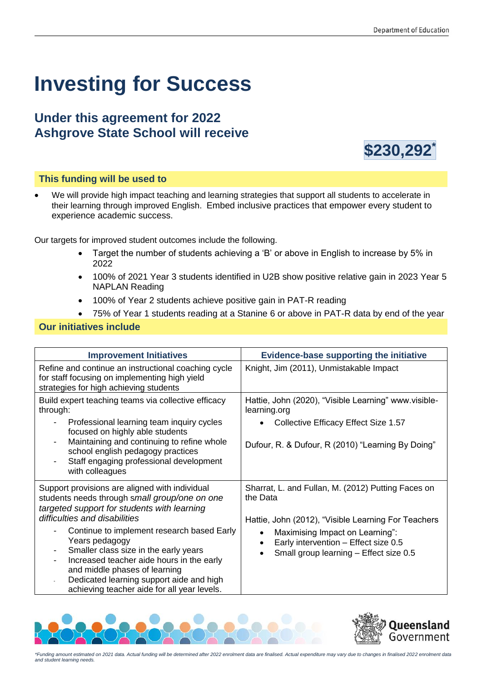# **Investing for Success**

## **Under this agreement for 2022 Ashgrove State School will receive**



### **This funding will be used to**

• We will provide high impact teaching and learning strategies that support all students to accelerate in their learning through improved English. Embed inclusive practices that empower every student to experience academic success.

Our targets for improved student outcomes include the following.

- Target the number of students achieving a 'B' or above in English to increase by 5% in 2022
- 100% of 2021 Year 3 students identified in U2B show positive relative gain in 2023 Year 5 NAPLAN Reading
- 100% of Year 2 students achieve positive gain in PAT-R reading
- 75% of Year 1 students reading at a Stanine 6 or above in PAT-R data by end of the year

#### **Our initiatives include**

| <b>Improvement Initiatives</b>                                                                                                                                                                                                                                                                                                                                                                                                                                                                                                | <b>Evidence-base supporting the initiative</b>                                                                                                                                                                                                          |
|-------------------------------------------------------------------------------------------------------------------------------------------------------------------------------------------------------------------------------------------------------------------------------------------------------------------------------------------------------------------------------------------------------------------------------------------------------------------------------------------------------------------------------|---------------------------------------------------------------------------------------------------------------------------------------------------------------------------------------------------------------------------------------------------------|
| Refine and continue an instructional coaching cycle<br>for staff focusing on implementing high yield<br>strategies for high achieving students                                                                                                                                                                                                                                                                                                                                                                                | Knight, Jim (2011), Unmistakable Impact                                                                                                                                                                                                                 |
| Build expert teaching teams via collective efficacy<br>through:<br>Professional learning team inquiry cycles<br>$\qquad \qquad \blacksquare$<br>focused on highly able students<br>Maintaining and continuing to refine whole<br>school english pedagogy practices<br>Staff engaging professional development<br>with colleagues                                                                                                                                                                                              | Hattie, John (2020), "Visible Learning" www.visible-<br>learning.org<br>Collective Efficacy Effect Size 1.57<br>Dufour, R. & Dufour, R (2010) "Learning By Doing"                                                                                       |
| Support provisions are aligned with individual<br>students needs through small group/one on one<br>targeted support for students with learning<br>difficulties and disabilities<br>Continue to implement research based Early<br>Years pedagogy<br>Smaller class size in the early years<br>$\qquad \qquad \blacksquare$<br>Increased teacher aide hours in the early<br>$\overline{\phantom{0}}$<br>and middle phases of learning<br>Dedicated learning support aide and high<br>achieving teacher aide for all year levels. | Sharrat, L. and Fullan, M. (2012) Putting Faces on<br>the Data<br>Hattie, John (2012), "Visible Learning For Teachers<br>Maximising Impact on Learning":<br>$\bullet$<br>Early intervention - Effect size 0.5<br>Small group learning - Effect size 0.5 |